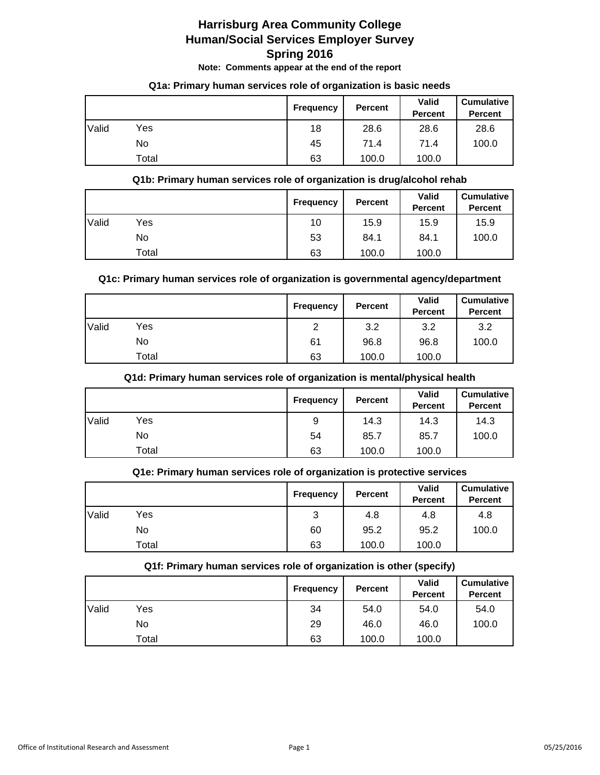**Note: Comments appear at the end of the report**

#### **Q1a: Primary human services role of organization is basic needs**

|       |       | <b>Frequency</b> | <b>Percent</b> | Valid<br><b>Percent</b> | <b>Cumulative</b><br><b>Percent</b> |
|-------|-------|------------------|----------------|-------------------------|-------------------------------------|
| Valid | Yes   | 18               | 28.6           | 28.6                    | 28.6                                |
|       | No    | 45               | 71.4           | 71.4                    | 100.0                               |
|       | Total | 63               | 100.0          | 100.0                   |                                     |

#### **Q1b: Primary human services role of organization is drug/alcohol rehab**

|       |       | Frequency | <b>Percent</b> | Valid<br><b>Percent</b> | <b>Cumulative</b><br><b>Percent</b> |
|-------|-------|-----------|----------------|-------------------------|-------------------------------------|
| Valid | Yes   | 10        | 15.9           | 15.9                    | 15.9                                |
|       | No    | 53        | 84.1           | 84.1                    | 100.0                               |
|       | Total | 63        | 100.0          | 100.0                   |                                     |

#### **Q1c: Primary human services role of organization is governmental agency/department**

|       |       | Frequency | <b>Percent</b> | Valid<br><b>Percent</b> | <b>Cumulative</b><br><b>Percent</b> |
|-------|-------|-----------|----------------|-------------------------|-------------------------------------|
| Valid | Yes   | 2         | 3.2            | 3.2                     | 3.2                                 |
|       | No    | 61        | 96.8           | 96.8                    | 100.0                               |
|       | Total | 63        | 100.0          | 100.0                   |                                     |

#### **Q1d: Primary human services role of organization is mental/physical health**

|       |       | Frequency | <b>Percent</b> | Valid<br><b>Percent</b> | <b>Cumulative</b><br><b>Percent</b> |
|-------|-------|-----------|----------------|-------------------------|-------------------------------------|
| Valid | Yes   | 9         | 14.3           | 14.3                    | 14.3                                |
|       | No    | 54        | 85.7           | 85.7                    | 100.0                               |
|       | Total | 63        | 100.0          | 100.0                   |                                     |

#### **Q1e: Primary human services role of organization is protective services**

|       |       | Frequency | <b>Percent</b> | Valid<br><b>Percent</b> | <b>Cumulative</b><br><b>Percent</b> |
|-------|-------|-----------|----------------|-------------------------|-------------------------------------|
| Valid | Yes   | 3         | 4.8            | 4.8                     | 4.8                                 |
|       | No    | 60        | 95.2           | 95.2                    | 100.0                               |
|       | Total | 63        | 100.0          | 100.0                   |                                     |

#### **Q1f: Primary human services role of organization is other (specify)**

|       |       | <b>Frequency</b> | <b>Percent</b> | <b>Valid</b><br><b>Percent</b> | <b>Cumulative</b><br><b>Percent</b> |
|-------|-------|------------------|----------------|--------------------------------|-------------------------------------|
| Valid | Yes   | 34               | 54.0           | 54.0                           | 54.0                                |
|       | No    | 29               | 46.0           | 46.0                           | 100.0                               |
|       | Total | 63               | 100.0          | 100.0                          |                                     |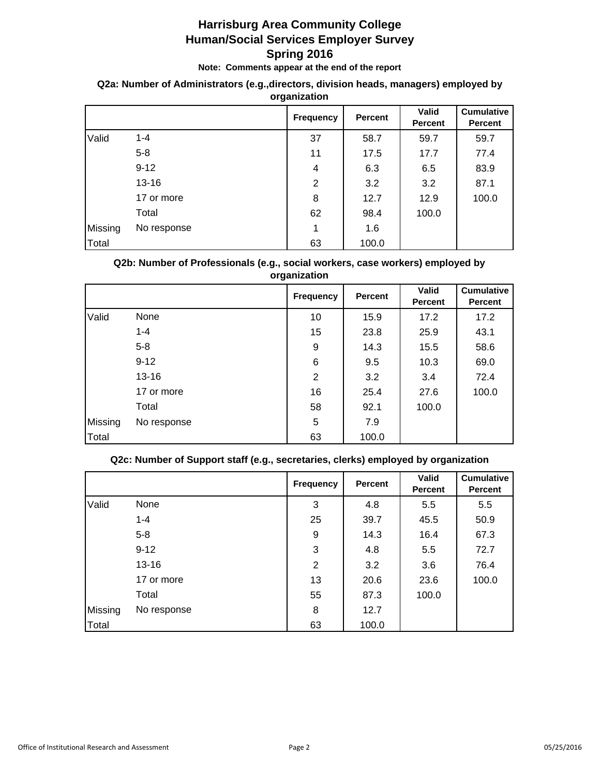**Note: Comments appear at the end of the report**

# **Q2a: Number of Administrators (e.g.,directors, division heads, managers) employed by**

| organization |
|--------------|
|              |
|              |
|              |

|         |             | <b>Frequency</b> | <b>Percent</b> | Valid<br><b>Percent</b> | <b>Cumulative</b><br><b>Percent</b> |
|---------|-------------|------------------|----------------|-------------------------|-------------------------------------|
| Valid   | $1 - 4$     | 37               | 58.7           | 59.7                    | 59.7                                |
|         | $5-8$       | 11               | 17.5           | 17.7                    | 77.4                                |
|         | $9 - 12$    | 4                | 6.3            | 6.5                     | 83.9                                |
|         | $13 - 16$   | 2                | 3.2            | 3.2                     | 87.1                                |
|         | 17 or more  | 8                | 12.7           | 12.9                    | 100.0                               |
|         | Total       | 62               | 98.4           | 100.0                   |                                     |
| Missing | No response | 1                | 1.6            |                         |                                     |
| Total   |             | 63               | 100.0          |                         |                                     |

## **Q2b: Number of Professionals (e.g., social workers, case workers) employed by organization**

|         |             | <b>Frequency</b> | <b>Percent</b> | <b>Valid</b><br><b>Percent</b> | <b>Cumulative</b><br><b>Percent</b> |
|---------|-------------|------------------|----------------|--------------------------------|-------------------------------------|
| Valid   | None        | 10               | 15.9           | 17.2                           | 17.2                                |
|         | $1 - 4$     | 15               | 23.8           | 25.9                           | 43.1                                |
|         | $5 - 8$     | 9                | 14.3           | 15.5                           | 58.6                                |
|         | $9 - 12$    | 6                | 9.5            | 10.3                           | 69.0                                |
|         | $13 - 16$   | $\overline{2}$   | 3.2            | 3.4                            | 72.4                                |
|         | 17 or more  | 16               | 25.4           | 27.6                           | 100.0                               |
|         | Total       | 58               | 92.1           | 100.0                          |                                     |
| Missing | No response | 5                | 7.9            |                                |                                     |
| Total   |             | 63               | 100.0          |                                |                                     |

# **Q2c: Number of Support staff (e.g., secretaries, clerks) employed by organization**

|         |             | <b>Frequency</b> | <b>Percent</b> | <b>Valid</b><br><b>Percent</b> | <b>Cumulative</b><br><b>Percent</b> |
|---------|-------------|------------------|----------------|--------------------------------|-------------------------------------|
| Valid   | None        | 3                | 4.8            | 5.5                            | 5.5                                 |
|         | $1 - 4$     | 25               | 39.7           | 45.5                           | 50.9                                |
|         | $5 - 8$     | 9                | 14.3           | 16.4                           | 67.3                                |
|         | $9 - 12$    | 3                | 4.8            | 5.5                            | 72.7                                |
|         | $13 - 16$   | $\overline{2}$   | 3.2            | 3.6                            | 76.4                                |
|         | 17 or more  | 13               | 20.6           | 23.6                           | 100.0                               |
|         | Total       | 55               | 87.3           | 100.0                          |                                     |
| Missing | No response | 8                | 12.7           |                                |                                     |
| Total   |             | 63               | 100.0          |                                |                                     |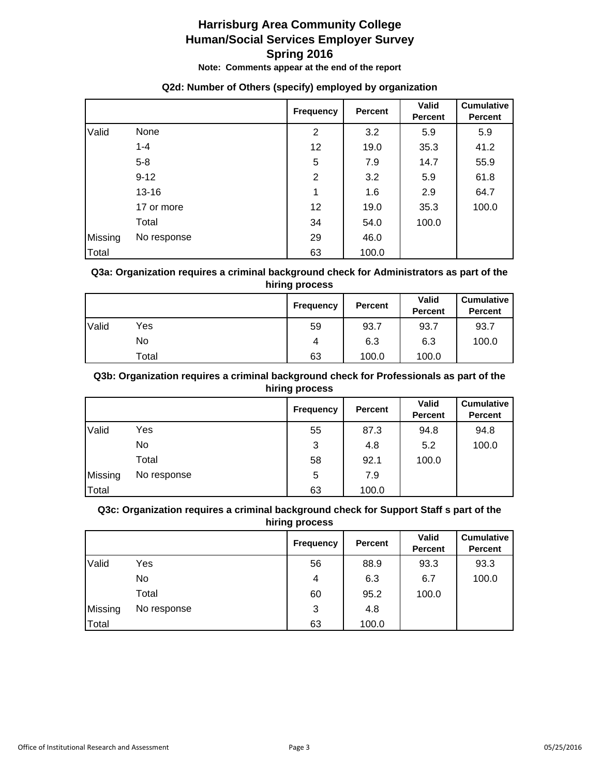**Note: Comments appear at the end of the report**

#### **Q2d: Number of Others (specify) employed by organization**

|         |             | <b>Frequency</b> | <b>Percent</b> | Valid<br><b>Percent</b> | <b>Cumulative</b><br><b>Percent</b> |
|---------|-------------|------------------|----------------|-------------------------|-------------------------------------|
| Valid   | None        | $\overline{2}$   | 3.2            | 5.9                     | 5.9                                 |
|         | $1 - 4$     | 12               | 19.0           | 35.3                    | 41.2                                |
|         | $5-8$       | 5                | 7.9            | 14.7                    | 55.9                                |
|         | $9 - 12$    | $\overline{2}$   | 3.2            | 5.9                     | 61.8                                |
|         | $13 - 16$   | 1                | 1.6            | 2.9                     | 64.7                                |
|         | 17 or more  | 12               | 19.0           | 35.3                    | 100.0                               |
|         | Total       | 34               | 54.0           | 100.0                   |                                     |
| Missing | No response | 29               | 46.0           |                         |                                     |
| Total   |             | 63               | 100.0          |                         |                                     |

**Q3a: Organization requires a criminal background check for Administrators as part of the hiring process**

|       |       | <b>Frequency</b> | <b>Percent</b> | Valid<br><b>Percent</b> | <b>Cumulative</b><br><b>Percent</b> |
|-------|-------|------------------|----------------|-------------------------|-------------------------------------|
| Valid | Yes   | 59               | 93.7           | 93.7                    | 93.7                                |
|       | No    | 4                | 6.3            | 6.3                     | 100.0                               |
|       | Total | 63               | 100.0          | 100.0                   |                                     |

#### **Q3b: Organization requires a criminal background check for Professionals as part of the hiring process**

|         |             | <b>Frequency</b> | <b>Percent</b> | Valid<br><b>Percent</b> | <b>Cumulative</b><br><b>Percent</b> |
|---------|-------------|------------------|----------------|-------------------------|-------------------------------------|
| Valid   | Yes         | 55               | 87.3           | 94.8                    | 94.8                                |
|         | No          | 3                | 4.8            | 5.2                     | 100.0                               |
|         | Total       | 58               | 92.1           | 100.0                   |                                     |
| Missing | No response | 5                | 7.9            |                         |                                     |
| Total   |             | 63               | 100.0          |                         |                                     |

#### **Q3c: Organization requires a criminal background check for Support Staff s part of the hiring process**

|         |             | <b>Frequency</b> | Percent | <b>Valid</b><br><b>Percent</b> | <b>Cumulative</b><br><b>Percent</b> |
|---------|-------------|------------------|---------|--------------------------------|-------------------------------------|
| Valid   | Yes         | 56               | 88.9    | 93.3                           | 93.3                                |
|         | No          | 4                | 6.3     | 6.7                            | 100.0                               |
|         | Total       | 60               | 95.2    | 100.0                          |                                     |
| Missing | No response | 3                | 4.8     |                                |                                     |
| Total   |             | 63               | 100.0   |                                |                                     |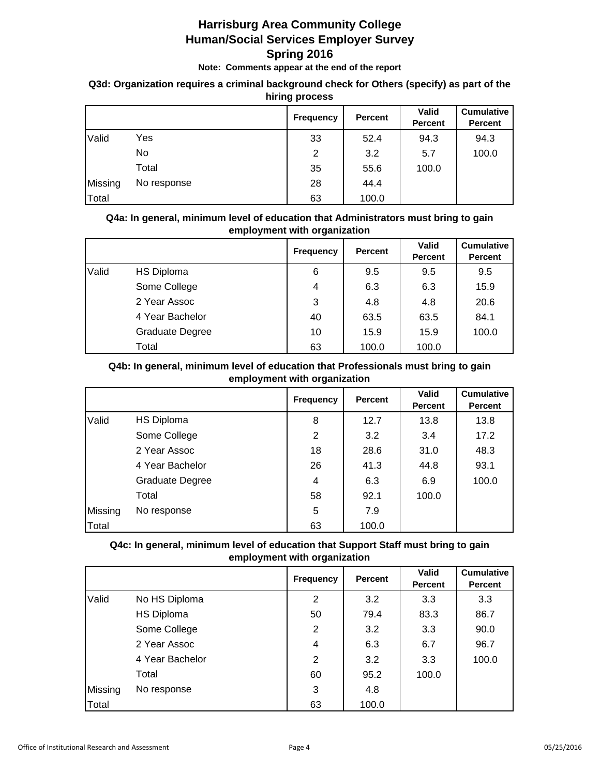**Note: Comments appear at the end of the report**

#### **Q3d: Organization requires a criminal background check for Others (specify) as part of the hiring process**

|         |             | <b>Frequency</b> | <b>Percent</b> | Valid<br><b>Percent</b> | <b>Cumulative</b><br><b>Percent</b> |
|---------|-------------|------------------|----------------|-------------------------|-------------------------------------|
| Valid   | Yes         | 33               | 52.4           | 94.3                    | 94.3                                |
|         | No          | $\overline{2}$   | 3.2            | 5.7                     | 100.0                               |
|         | Total       | 35               | 55.6           | 100.0                   |                                     |
| Missing | No response | 28               | 44.4           |                         |                                     |
| Total   |             | 63               | 100.0          |                         |                                     |

**Q4a: In general, minimum level of education that Administrators must bring to gain employment with organization**

|       |                        | <b>Frequency</b> | Percent | Valid<br><b>Percent</b> | <b>Cumulative</b><br>Percent |
|-------|------------------------|------------------|---------|-------------------------|------------------------------|
| Valid | <b>HS Diploma</b>      | 6                | 9.5     | 9.5                     | 9.5                          |
|       | Some College           | 4                | 6.3     | 6.3                     | 15.9                         |
|       | 2 Year Assoc           | 3                | 4.8     | 4.8                     | 20.6                         |
|       | 4 Year Bachelor        | 40               | 63.5    | 63.5                    | 84.1                         |
|       | <b>Graduate Degree</b> | 10               | 15.9    | 15.9                    | 100.0                        |
|       | Total                  | 63               | 100.0   | 100.0                   |                              |

## **Q4b: In general, minimum level of education that Professionals must bring to gain employment with organization**

|         |                   | <b>Frequency</b> | <b>Percent</b> | Valid<br><b>Percent</b> | <b>Cumulative</b><br><b>Percent</b> |
|---------|-------------------|------------------|----------------|-------------------------|-------------------------------------|
| Valid   | <b>HS Diploma</b> | 8                | 12.7           | 13.8                    | 13.8                                |
|         | Some College      | $\overline{2}$   | 3.2            | 3.4                     | 17.2                                |
|         | 2 Year Assoc      | 18               | 28.6           | 31.0                    | 48.3                                |
|         | 4 Year Bachelor   | 26               | 41.3           | 44.8                    | 93.1                                |
|         | Graduate Degree   | 4                | 6.3            | 6.9                     | 100.0                               |
|         | Total             | 58               | 92.1           | 100.0                   |                                     |
| Missing | No response       | 5                | 7.9            |                         |                                     |
| Total   |                   | 63               | 100.0          |                         |                                     |

# **Q4c: In general, minimum level of education that Support Staff must bring to gain employment with organization**

|         |                   | <b>Frequency</b> | <b>Percent</b> | <b>Valid</b><br><b>Percent</b> | <b>Cumulative</b><br><b>Percent</b> |
|---------|-------------------|------------------|----------------|--------------------------------|-------------------------------------|
| Valid   | No HS Diploma     | 2                | 3.2            | 3.3                            | 3.3                                 |
|         | <b>HS Diploma</b> | 50               | 79.4           | 83.3                           | 86.7                                |
|         | Some College      | 2                | 3.2            | 3.3                            | 90.0                                |
|         | 2 Year Assoc      | 4                | 6.3            | 6.7                            | 96.7                                |
|         | 4 Year Bachelor   | 2                | 3.2            | 3.3                            | 100.0                               |
|         | Total             | 60               | 95.2           | 100.0                          |                                     |
| Missing | No response       | 3                | 4.8            |                                |                                     |
| Total   |                   | 63               | 100.0          |                                |                                     |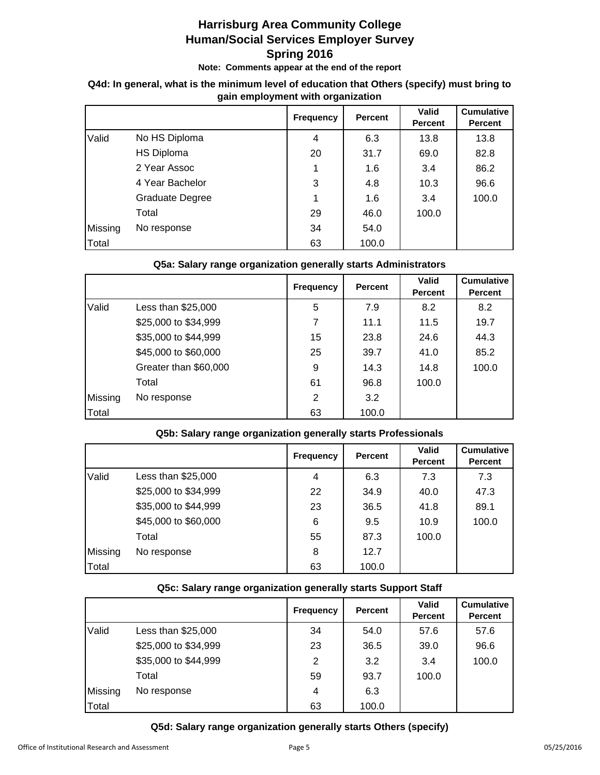**Note: Comments appear at the end of the report**

# **Q4d: In general, what is the minimum level of education that Others (specify) must bring to gain employment with organization**

|         |                   | <b>Frequency</b> | <b>Percent</b> | <b>Valid</b><br><b>Percent</b> | <b>Cumulative</b><br><b>Percent</b> |
|---------|-------------------|------------------|----------------|--------------------------------|-------------------------------------|
| Valid   | No HS Diploma     | 4                | 6.3            | 13.8                           | 13.8                                |
|         | <b>HS Diploma</b> | 20               | 31.7           | 69.0                           | 82.8                                |
|         | 2 Year Assoc      | 1                | 1.6            | 3.4                            | 86.2                                |
|         | 4 Year Bachelor   | 3                | 4.8            | 10.3                           | 96.6                                |
|         | Graduate Degree   | 1                | 1.6            | 3.4                            | 100.0                               |
|         | Total             | 29               | 46.0           | 100.0                          |                                     |
| Missing | No response       | 34               | 54.0           |                                |                                     |
| Total   |                   | 63               | 100.0          |                                |                                     |

# **Q5a: Salary range organization generally starts Administrators**

|         |                       | <b>Frequency</b> | <b>Percent</b> | <b>Valid</b><br><b>Percent</b> | <b>Cumulative</b><br><b>Percent</b> |
|---------|-----------------------|------------------|----------------|--------------------------------|-------------------------------------|
| Valid   | Less than \$25,000    | 5                | 7.9            | 8.2                            | 8.2                                 |
|         | \$25,000 to \$34,999  | 7                | 11.1           | 11.5                           | 19.7                                |
|         | \$35,000 to \$44,999  | 15               | 23.8           | 24.6                           | 44.3                                |
|         | \$45,000 to \$60,000  | 25               | 39.7           | 41.0                           | 85.2                                |
|         | Greater than \$60,000 | 9                | 14.3           | 14.8                           | 100.0                               |
|         | Total                 | 61               | 96.8           | 100.0                          |                                     |
| Missing | No response           | $\overline{2}$   | 3.2            |                                |                                     |
| Total   |                       | 63               | 100.0          |                                |                                     |

# **Q5b: Salary range organization generally starts Professionals**

|         |                      | <b>Frequency</b> | Percent | <b>Valid</b><br><b>Percent</b> | <b>Cumulative</b><br><b>Percent</b> |
|---------|----------------------|------------------|---------|--------------------------------|-------------------------------------|
| Valid   | Less than \$25,000   | 4                | 6.3     | 7.3                            | 7.3                                 |
|         | \$25,000 to \$34,999 | 22               | 34.9    | 40.0                           | 47.3                                |
|         | \$35,000 to \$44,999 | 23               | 36.5    | 41.8                           | 89.1                                |
|         | \$45,000 to \$60,000 | 6                | 9.5     | 10.9                           | 100.0                               |
|         | Total                | 55               | 87.3    | 100.0                          |                                     |
| Missing | No response          | 8                | 12.7    |                                |                                     |
| Total   |                      | 63               | 100.0   |                                |                                     |

## **Q5c: Salary range organization generally starts Support Staff**

|         |                      | <b>Frequency</b> | <b>Percent</b> | <b>Valid</b><br><b>Percent</b> | <b>Cumulative</b><br><b>Percent</b> |
|---------|----------------------|------------------|----------------|--------------------------------|-------------------------------------|
| Valid   | Less than \$25,000   | 34               | 54.0           | 57.6                           | 57.6                                |
|         | \$25,000 to \$34,999 | 23               | 36.5           | 39.0                           | 96.6                                |
|         | \$35,000 to \$44,999 | 2                | 3.2            | 3.4                            | 100.0                               |
|         | Total                | 59               | 93.7           | 100.0                          |                                     |
| Missing | No response          | 4                | 6.3            |                                |                                     |
| Total   |                      | 63               | 100.0          |                                |                                     |

**Q5d: Salary range organization generally starts Others (specify)**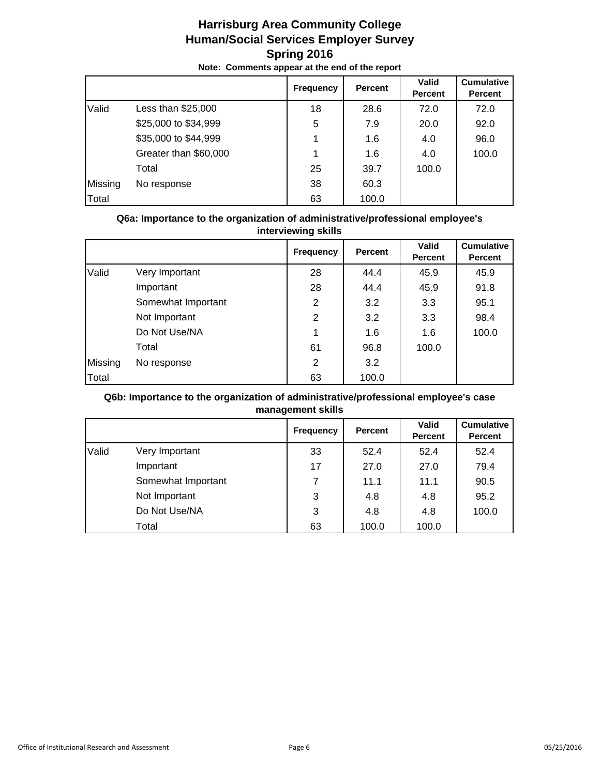# **Harrisburg Area Community College Human/Social Services Employer Survey Spring 2016 Note: Comments appear at the end of the report**

|         |                       | <b>Frequency</b> | <b>Percent</b> | <b>Valid</b><br><b>Percent</b> | <b>Cumulative</b><br><b>Percent</b> |
|---------|-----------------------|------------------|----------------|--------------------------------|-------------------------------------|
| Valid   | Less than \$25,000    | 18               | 28.6           | 72.0                           | 72.0                                |
|         | \$25,000 to \$34,999  | 5                | 7.9            | 20.0                           | 92.0                                |
|         | \$35,000 to \$44,999  | 1                | 1.6            | 4.0                            | 96.0                                |
|         | Greater than \$60,000 | 1                | 1.6            | 4.0                            | 100.0                               |
|         | Total                 | 25               | 39.7           | 100.0                          |                                     |
| Missing | No response           | 38               | 60.3           |                                |                                     |
| Total   |                       | 63               | 100.0          |                                |                                     |

## **Q6a: Importance to the organization of administrative/professional employee's interviewing skills**

|         |                    | <b>Frequency</b> | Percent | <b>Valid</b><br><b>Percent</b> | <b>Cumulative</b><br>Percent |
|---------|--------------------|------------------|---------|--------------------------------|------------------------------|
| Valid   | Very Important     | 28               | 44.4    | 45.9                           | 45.9                         |
|         | Important          | 28               | 44.4    | 45.9                           | 91.8                         |
|         | Somewhat Important | 2                | 3.2     | 3.3                            | 95.1                         |
|         | Not Important      | $\overline{2}$   | 3.2     | 3.3                            | 98.4                         |
|         | Do Not Use/NA      | 1                | 1.6     | 1.6                            | 100.0                        |
|         | Total              | 61               | 96.8    | 100.0                          |                              |
| Missing | No response        | $\overline{2}$   | 3.2     |                                |                              |
| Total   |                    | 63               | 100.0   |                                |                              |

## **Q6b: Importance to the organization of administrative/professional employee's case management skills**

|       |                    | <b>Frequency</b> | <b>Percent</b> | <b>Valid</b><br><b>Percent</b> | <b>Cumulative</b><br><b>Percent</b> |
|-------|--------------------|------------------|----------------|--------------------------------|-------------------------------------|
| Valid | Very Important     | 33               | 52.4           | 52.4                           | 52.4                                |
|       | Important          | 17               | 27.0           | 27.0                           | 79.4                                |
|       | Somewhat Important | 7                | 11.1           | 11.1                           | 90.5                                |
|       | Not Important      | 3                | 4.8            | 4.8                            | 95.2                                |
|       | Do Not Use/NA      | 3                | 4.8            | 4.8                            | 100.0                               |
|       | Total              | 63               | 100.0          | 100.0                          |                                     |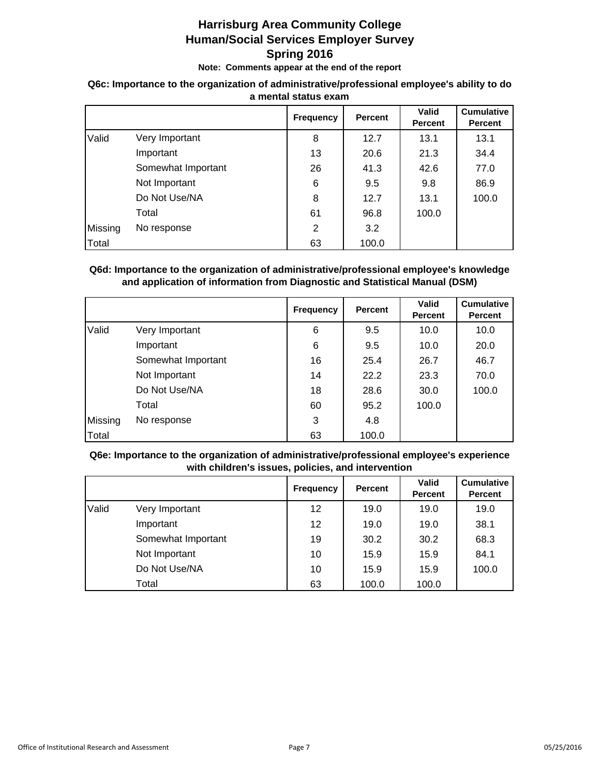**Note: Comments appear at the end of the report**

# **Q6c: Importance to the organization of administrative/professional employee's ability to do a mental status exam**

|         |                    | <b>Frequency</b> | Percent | <b>Valid</b><br><b>Percent</b> | <b>Cumulative</b><br><b>Percent</b> |
|---------|--------------------|------------------|---------|--------------------------------|-------------------------------------|
| Valid   | Very Important     | 8                | 12.7    | 13.1                           | 13.1                                |
|         | Important          | 13               | 20.6    | 21.3                           | 34.4                                |
|         | Somewhat Important | 26               | 41.3    | 42.6                           | 77.0                                |
|         | Not Important      | 6                | 9.5     | 9.8                            | 86.9                                |
|         | Do Not Use/NA      | 8                | 12.7    | 13.1                           | 100.0                               |
|         | Total              | 61               | 96.8    | 100.0                          |                                     |
| Missing | No response        | 2                | 3.2     |                                |                                     |
| Total   |                    | 63               | 100.0   |                                |                                     |

## **Q6d: Importance to the organization of administrative/professional employee's knowledge and application of information from Diagnostic and Statistical Manual (DSM)**

|         |                    | <b>Frequency</b> | Percent | <b>Valid</b><br><b>Percent</b> | <b>Cumulative</b><br><b>Percent</b> |
|---------|--------------------|------------------|---------|--------------------------------|-------------------------------------|
| Valid   | Very Important     | 6                | 9.5     | 10.0                           | 10.0                                |
|         | Important          | 6                | 9.5     | 10.0                           | 20.0                                |
|         | Somewhat Important | 16               | 25.4    | 26.7                           | 46.7                                |
|         | Not Important      | 14               | 22.2    | 23.3                           | 70.0                                |
|         | Do Not Use/NA      | 18               | 28.6    | 30.0                           | 100.0                               |
|         | Total              | 60               | 95.2    | 100.0                          |                                     |
| Missing | No response        | 3                | 4.8     |                                |                                     |
| Total   |                    | 63               | 100.0   |                                |                                     |

#### **Q6e: Importance to the organization of administrative/professional employee's experience with children's issues, policies, and intervention**

|       |                    | <b>Frequency</b> | Percent | <b>Valid</b><br><b>Percent</b> | <b>Cumulative</b><br><b>Percent</b> |
|-------|--------------------|------------------|---------|--------------------------------|-------------------------------------|
| Valid | Very Important     | 12               | 19.0    | 19.0                           | 19.0                                |
|       | Important          | 12               | 19.0    | 19.0                           | 38.1                                |
|       | Somewhat Important | 19               | 30.2    | 30.2                           | 68.3                                |
|       | Not Important      | 10               | 15.9    | 15.9                           | 84.1                                |
|       | Do Not Use/NA      | 10               | 15.9    | 15.9                           | 100.0                               |
|       | Total              | 63               | 100.0   | 100.0                          |                                     |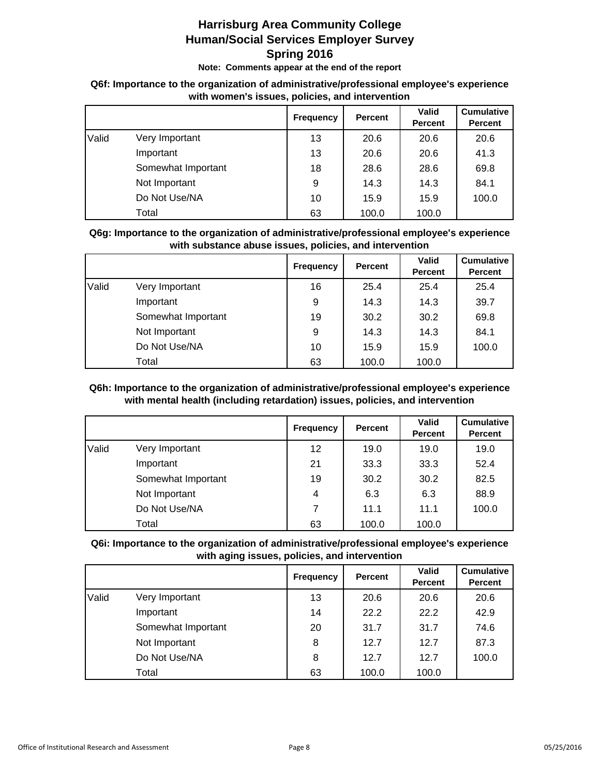**Note: Comments appear at the end of the report**

#### **Q6f: Importance to the organization of administrative/professional employee's experience with women's issues, policies, and intervention**

|       |                    | <b>Frequency</b> | Percent | <b>Valid</b><br><b>Percent</b> | <b>Cumulative</b><br><b>Percent</b> |
|-------|--------------------|------------------|---------|--------------------------------|-------------------------------------|
| Valid | Very Important     | 13               | 20.6    | 20.6                           | 20.6                                |
|       | Important          | 13               | 20.6    | 20.6                           | 41.3                                |
|       | Somewhat Important | 18               | 28.6    | 28.6                           | 69.8                                |
|       | Not Important      | 9                | 14.3    | 14.3                           | 84.1                                |
|       | Do Not Use/NA      | 10               | 15.9    | 15.9                           | 100.0                               |
|       | Total              | 63               | 100.0   | 100.0                          |                                     |

## **Q6g: Importance to the organization of administrative/professional employee's experience with substance abuse issues, policies, and intervention**

|       |                    | <b>Frequency</b> | Percent | <b>Valid</b><br><b>Percent</b> | <b>Cumulative</b><br><b>Percent</b> |
|-------|--------------------|------------------|---------|--------------------------------|-------------------------------------|
| Valid | Very Important     | 16               | 25.4    | 25.4                           | 25.4                                |
|       | Important          | 9                | 14.3    | 14.3                           | 39.7                                |
|       | Somewhat Important | 19               | 30.2    | 30.2                           | 69.8                                |
|       | Not Important      | 9                | 14.3    | 14.3                           | 84.1                                |
|       | Do Not Use/NA      | 10               | 15.9    | 15.9                           | 100.0                               |
|       | Total              | 63               | 100.0   | 100.0                          |                                     |

#### **Q6h: Importance to the organization of administrative/professional employee's experience with mental health (including retardation) issues, policies, and intervention**

|       |                    | <b>Frequency</b> | Percent | Valid<br><b>Percent</b> | <b>Cumulative</b><br><b>Percent</b> |
|-------|--------------------|------------------|---------|-------------------------|-------------------------------------|
| Valid | Very Important     | 12               | 19.0    | 19.0                    | 19.0                                |
|       | Important          | 21               | 33.3    | 33.3                    | 52.4                                |
|       | Somewhat Important | 19               | 30.2    | 30.2                    | 82.5                                |
|       | Not Important      | 4                | 6.3     | 6.3                     | 88.9                                |
|       | Do Not Use/NA      | 7                | 11.1    | 11.1                    | 100.0                               |
|       | Total              | 63               | 100.0   | 100.0                   |                                     |

# **Q6i: Importance to the organization of administrative/professional employee's experience with aging issues, policies, and intervention**

|       |                    | <b>Frequency</b> | Percent | <b>Valid</b><br><b>Percent</b> | <b>Cumulative</b><br><b>Percent</b> |
|-------|--------------------|------------------|---------|--------------------------------|-------------------------------------|
| Valid | Very Important     | 13               | 20.6    | 20.6                           | 20.6                                |
|       | Important          | 14               | 22.2    | 22.2                           | 42.9                                |
|       | Somewhat Important | 20               | 31.7    | 31.7                           | 74.6                                |
|       | Not Important      | 8                | 12.7    | 12.7                           | 87.3                                |
|       | Do Not Use/NA      | 8                | 12.7    | 12.7                           | 100.0                               |
|       | Total              | 63               | 100.0   | 100.0                          |                                     |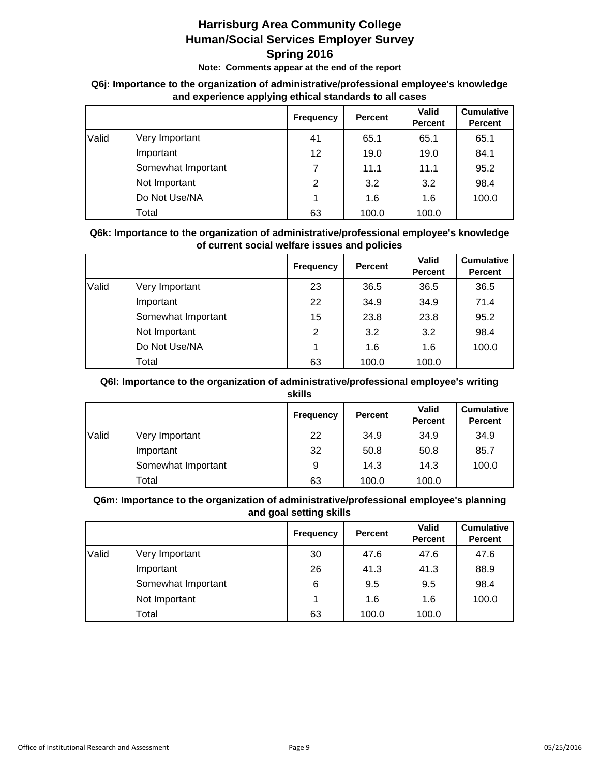**Note: Comments appear at the end of the report**

## **Q6j: Importance to the organization of administrative/professional employee's knowledge and experience applying ethical standards to all cases**

|       |                    | <b>Frequency</b> | <b>Percent</b> | <b>Valid</b><br><b>Percent</b> | <b>Cumulative</b><br><b>Percent</b> |
|-------|--------------------|------------------|----------------|--------------------------------|-------------------------------------|
| Valid | Very Important     | 41               | 65.1           | 65.1                           | 65.1                                |
|       | Important          | 12               | 19.0           | 19.0                           | 84.1                                |
|       | Somewhat Important | $\overline{7}$   | 11.1           | 11.1                           | 95.2                                |
|       | Not Important      | 2                | 3.2            | 3.2                            | 98.4                                |
|       | Do Not Use/NA      | 1                | 1.6            | 1.6                            | 100.0                               |
|       | Total              | 63               | 100.0          | 100.0                          |                                     |

## **Q6k: Importance to the organization of administrative/professional employee's knowledge of current social welfare issues and policies**

|       |                    | <b>Frequency</b> | Percent | <b>Valid</b><br><b>Percent</b> | <b>Cumulative</b><br><b>Percent</b> |
|-------|--------------------|------------------|---------|--------------------------------|-------------------------------------|
| Valid | Very Important     | 23               | 36.5    | 36.5                           | 36.5                                |
|       | Important          | 22               | 34.9    | 34.9                           | 71.4                                |
|       | Somewhat Important | 15               | 23.8    | 23.8                           | 95.2                                |
|       | Not Important      | 2                | 3.2     | 3.2                            | 98.4                                |
|       | Do Not Use/NA      | 1                | 1.6     | 1.6                            | 100.0                               |
|       | Total              | 63               | 100.0   | 100.0                          |                                     |

#### **Q6l: Importance to the organization of administrative/professional employee's writing skills**

|       |                    | <b>Frequency</b> | <b>Percent</b> | <b>Valid</b><br><b>Percent</b> | <b>Cumulative</b><br><b>Percent</b> |
|-------|--------------------|------------------|----------------|--------------------------------|-------------------------------------|
| Valid | Very Important     | 22               | 34.9           | 34.9                           | 34.9                                |
|       | Important          | 32               | 50.8           | 50.8                           | 85.7                                |
|       | Somewhat Important | 9                | 14.3           | 14.3                           | 100.0                               |
|       | Total              | 63               | 100.0          | 100.0                          |                                     |

## **Q6m: Importance to the organization of administrative/professional employee's planning and goal setting skills**

|       |                    | <b>Frequency</b> | <b>Percent</b> | <b>Valid</b><br><b>Percent</b> | <b>Cumulative</b><br><b>Percent</b> |
|-------|--------------------|------------------|----------------|--------------------------------|-------------------------------------|
| Valid | Very Important     | 30               | 47.6           | 47.6                           | 47.6                                |
|       | Important          | 26               | 41.3           | 41.3                           | 88.9                                |
|       | Somewhat Important | 6                | 9.5            | 9.5                            | 98.4                                |
|       | Not Important      | 1                | 1.6            | 1.6                            | 100.0                               |
|       | Total              | 63               | 100.0          | 100.0                          |                                     |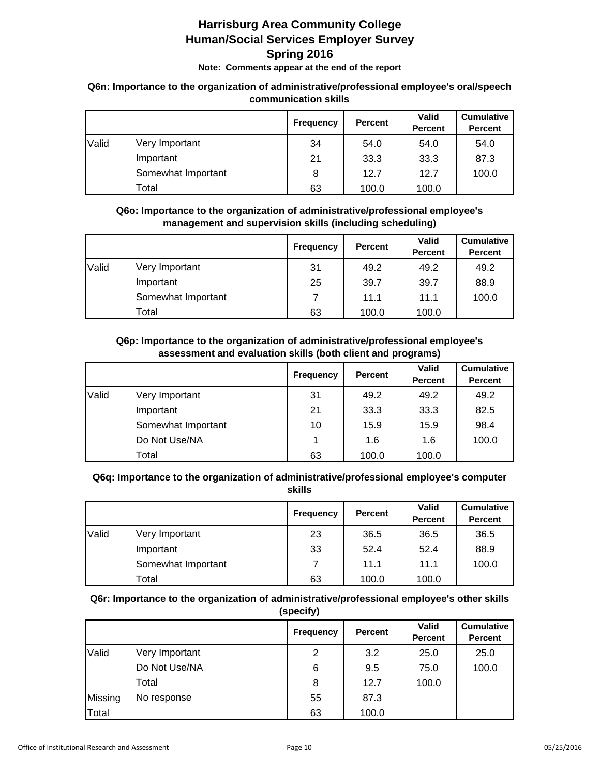**Note: Comments appear at the end of the report**

# **Q6n: Importance to the organization of administrative/professional employee's oral/speech communication skills**

|       |                    | <b>Frequency</b> | <b>Percent</b> | <b>Valid</b><br><b>Percent</b> | <b>Cumulative</b><br><b>Percent</b> |
|-------|--------------------|------------------|----------------|--------------------------------|-------------------------------------|
| Valid | Very Important     | 34               | 54.0           | 54.0                           | 54.0                                |
|       | Important          | 21               | 33.3           | 33.3                           | 87.3                                |
|       | Somewhat Important | 8                | 12.7           | 12.7                           | 100.0                               |
|       | Total              | 63               | 100.0          | 100.0                          |                                     |

## **Q6o: Importance to the organization of administrative/professional employee's management and supervision skills (including scheduling)**

|       |                    | <b>Frequency</b> | <b>Percent</b> | <b>Valid</b><br><b>Percent</b> | <b>Cumulative</b><br><b>Percent</b> |
|-------|--------------------|------------------|----------------|--------------------------------|-------------------------------------|
| Valid | Very Important     | 31               | 49.2           | 49.2                           | 49.2                                |
|       | Important          | 25               | 39.7           | 39.7                           | 88.9                                |
|       | Somewhat Important |                  | 11.1           | 11.1                           | 100.0                               |
|       | Total              | 63               | 100.0          | 100.0                          |                                     |

#### **Q6p: Importance to the organization of administrative/professional employee's assessment and evaluation skills (both client and programs)**

|       |                    | <b>Frequency</b> | Percent | <b>Valid</b><br><b>Percent</b> | <b>Cumulative</b><br><b>Percent</b> |
|-------|--------------------|------------------|---------|--------------------------------|-------------------------------------|
| Valid | Very Important     | 31               | 49.2    | 49.2                           | 49.2                                |
|       | Important          | 21               | 33.3    | 33.3                           | 82.5                                |
|       | Somewhat Important | 10               | 15.9    | 15.9                           | 98.4                                |
|       | Do Not Use/NA      | 1                | 1.6     | 1.6                            | 100.0                               |
|       | Total              | 63               | 100.0   | 100.0                          |                                     |

#### **Q6q: Importance to the organization of administrative/professional employee's computer skills**

|       |                    | <b>Frequency</b> | <b>Percent</b> | <b>Valid</b><br><b>Percent</b> | <b>Cumulative</b><br><b>Percent</b> |
|-------|--------------------|------------------|----------------|--------------------------------|-------------------------------------|
| Valid | Very Important     | 23               | 36.5           | 36.5                           | 36.5                                |
|       | Important          | 33               | 52.4           | 52.4                           | 88.9                                |
|       | Somewhat Important | 7                | 11.1           | 11.1                           | 100.0                               |
|       | Total              | 63               | 100.0          | 100.0                          |                                     |

#### **Q6r: Importance to the organization of administrative/professional employee's other skills (specify)**

|         |                | <b>Frequency</b> | <b>Percent</b> | <b>Valid</b><br><b>Percent</b> | <b>Cumulative</b><br><b>Percent</b> |
|---------|----------------|------------------|----------------|--------------------------------|-------------------------------------|
| Valid   | Very Important | 2                | 3.2            | 25.0                           | 25.0                                |
|         | Do Not Use/NA  | 6                | 9.5            | 75.0                           | 100.0                               |
|         | Total          | 8                | 12.7           | 100.0                          |                                     |
| Missing | No response    | 55               | 87.3           |                                |                                     |
| Total   |                | 63               | 100.0          |                                |                                     |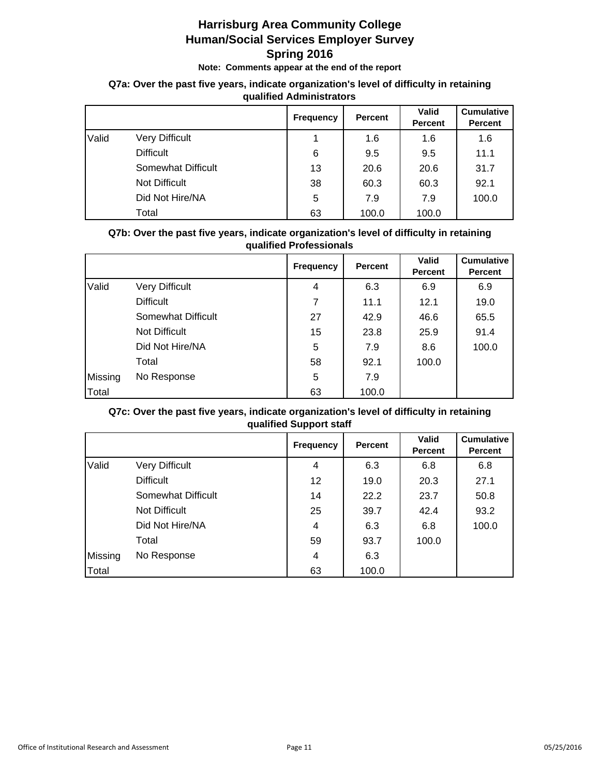**Note: Comments appear at the end of the report**

#### **Q7a: Over the past five years, indicate organization's level of difficulty in retaining qualified Administrators**

|       |                      | <b>Frequency</b> | Percent | <b>Valid</b><br><b>Percent</b> | <b>Cumulative</b><br><b>Percent</b> |
|-------|----------------------|------------------|---------|--------------------------------|-------------------------------------|
| Valid | Very Difficult       | 1                | 1.6     | 1.6                            | 1.6                                 |
|       | <b>Difficult</b>     | 6                | 9.5     | 9.5                            | 11.1                                |
|       | Somewhat Difficult   | 13               | 20.6    | 20.6                           | 31.7                                |
|       | <b>Not Difficult</b> | 38               | 60.3    | 60.3                           | 92.1                                |
|       | Did Not Hire/NA      | 5                | 7.9     | 7.9                            | 100.0                               |
|       | Total                | 63               | 100.0   | 100.0                          |                                     |

## **Q7b: Over the past five years, indicate organization's level of difficulty in retaining qualified Professionals**

|         |                      | <b>Frequency</b> | Percent | <b>Valid</b><br><b>Percent</b> | <b>Cumulative</b><br><b>Percent</b> |
|---------|----------------------|------------------|---------|--------------------------------|-------------------------------------|
| Valid   | Very Difficult       | 4                | 6.3     | 6.9                            | 6.9                                 |
|         | <b>Difficult</b>     | 7                | 11.1    | 12.1                           | 19.0                                |
|         | Somewhat Difficult   | 27               | 42.9    | 46.6                           | 65.5                                |
|         | <b>Not Difficult</b> | 15               | 23.8    | 25.9                           | 91.4                                |
|         | Did Not Hire/NA      | 5                | 7.9     | 8.6                            | 100.0                               |
|         | Total                | 58               | 92.1    | 100.0                          |                                     |
| Missing | No Response          | 5                | 7.9     |                                |                                     |
| Total   |                      | 63               | 100.0   |                                |                                     |

# **Q7c: Over the past five years, indicate organization's level of difficulty in retaining qualified Support staff**

|         |                       | <b>Frequency</b> | <b>Percent</b> | <b>Valid</b><br><b>Percent</b> | <b>Cumulative</b><br><b>Percent</b> |
|---------|-----------------------|------------------|----------------|--------------------------------|-------------------------------------|
| Valid   | <b>Very Difficult</b> | 4                | 6.3            | 6.8                            | 6.8                                 |
|         | <b>Difficult</b>      | 12               | 19.0           | 20.3                           | 27.1                                |
|         | Somewhat Difficult    | 14               | 22.2           | 23.7                           | 50.8                                |
|         | <b>Not Difficult</b>  | 25               | 39.7           | 42.4                           | 93.2                                |
|         | Did Not Hire/NA       | 4                | 6.3            | 6.8                            | 100.0                               |
|         | Total                 | 59               | 93.7           | 100.0                          |                                     |
| Missing | No Response           | 4                | 6.3            |                                |                                     |
| Total   |                       | 63               | 100.0          |                                |                                     |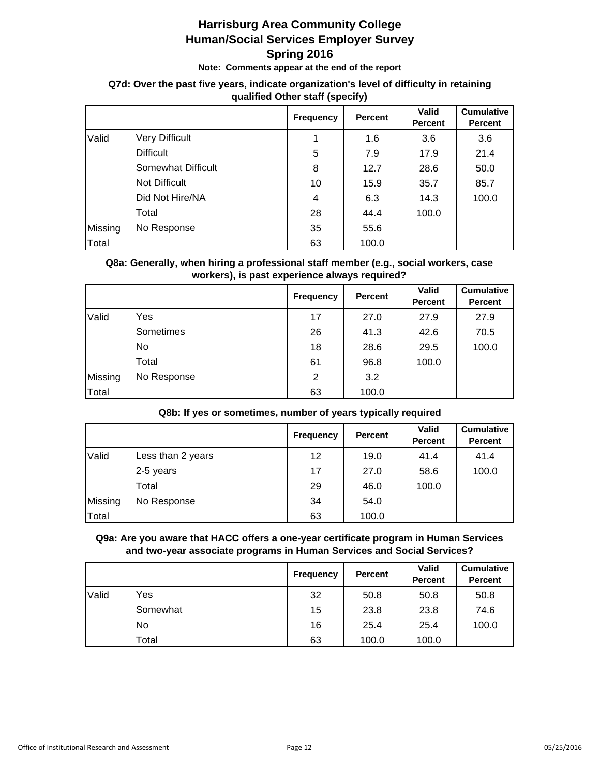**Note: Comments appear at the end of the report**

## **Q7d: Over the past five years, indicate organization's level of difficulty in retaining qualified Other staff (specify)**

|         |                       | <b>Frequency</b> | Percent | <b>Valid</b><br><b>Percent</b> | <b>Cumulative</b><br><b>Percent</b> |
|---------|-----------------------|------------------|---------|--------------------------------|-------------------------------------|
| Valid   | <b>Very Difficult</b> | 1                | 1.6     | 3.6                            | 3.6                                 |
|         | <b>Difficult</b>      | 5                | 7.9     | 17.9                           | 21.4                                |
|         | Somewhat Difficult    | 8                | 12.7    | 28.6                           | 50.0                                |
|         | <b>Not Difficult</b>  | 10               | 15.9    | 35.7                           | 85.7                                |
|         | Did Not Hire/NA       | 4                | 6.3     | 14.3                           | 100.0                               |
|         | Total                 | 28               | 44.4    | 100.0                          |                                     |
| Missing | No Response           | 35               | 55.6    |                                |                                     |
| Total   |                       | 63               | 100.0   |                                |                                     |

## **Q8a: Generally, when hiring a professional staff member (e.g., social workers, case workers), is past experience always required?**

|         |             | <b>Frequency</b> | Percent | <b>Valid</b><br><b>Percent</b> | <b>Cumulative</b><br>Percent |
|---------|-------------|------------------|---------|--------------------------------|------------------------------|
| Valid   | Yes         | 17               | 27.0    | 27.9                           | 27.9                         |
|         | Sometimes   | 26               | 41.3    | 42.6                           | 70.5                         |
|         | No          | 18               | 28.6    | 29.5                           | 100.0                        |
|         | Total       | 61               | 96.8    | 100.0                          |                              |
| Missing | No Response | 2                | 3.2     |                                |                              |
| Total   |             | 63               | 100.0   |                                |                              |

## **Q8b: If yes or sometimes, number of years typically required**

|         |                   | <b>Frequency</b> | <b>Percent</b> | <b>Valid</b><br><b>Percent</b> | <b>Cumulative</b><br><b>Percent</b> |
|---------|-------------------|------------------|----------------|--------------------------------|-------------------------------------|
| Valid   | Less than 2 years | 12               | 19.0           | 41.4                           | 41.4                                |
|         | 2-5 years         | 17               | 27.0           | 58.6                           | 100.0                               |
|         | Total             | 29               | 46.0           | 100.0                          |                                     |
| Missing | No Response       | 34               | 54.0           |                                |                                     |
| Total   |                   | 63               | 100.0          |                                |                                     |

#### **Q9a: Are you aware that HACC offers a one-year certificate program in Human Services and two-year associate programs in Human Services and Social Services?**

|       |          | <b>Frequency</b> | <b>Percent</b> | Valid<br><b>Percent</b> | <b>Cumulative</b><br><b>Percent</b> |
|-------|----------|------------------|----------------|-------------------------|-------------------------------------|
| Valid | Yes      | 32               | 50.8           | 50.8                    | 50.8                                |
|       | Somewhat | 15               | 23.8           | 23.8                    | 74.6                                |
|       | No       | 16               | 25.4           | 25.4                    | 100.0                               |
|       | Total    | 63               | 100.0          | 100.0                   |                                     |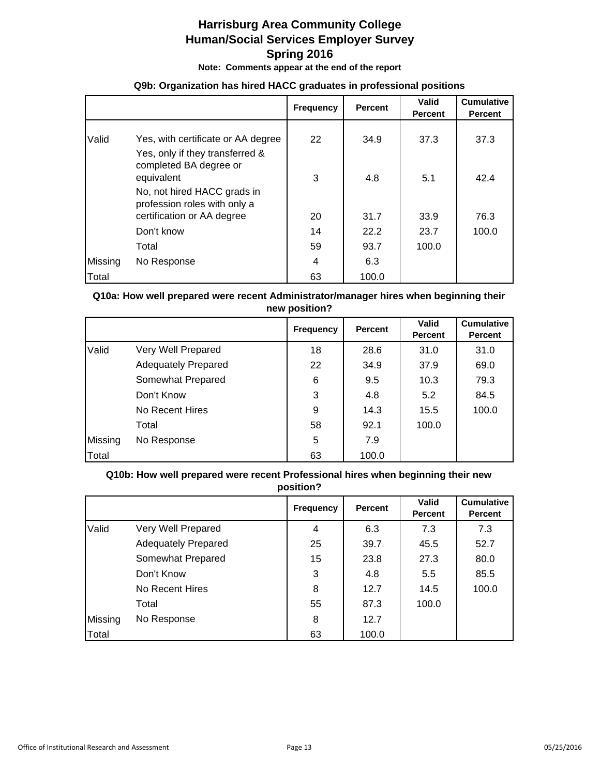**Note: Comments appear at the end of the report**

#### **Q9b: Organization has hired HACC graduates in professional positions**

|         |                                                                       | <b>Frequency</b> | <b>Percent</b> | Valid<br><b>Percent</b> | <b>Cumulative</b><br><b>Percent</b> |
|---------|-----------------------------------------------------------------------|------------------|----------------|-------------------------|-------------------------------------|
| Valid   | Yes, with certificate or AA degree<br>Yes, only if they transferred & | 22               | 34.9           | 37.3                    | 37.3                                |
|         | completed BA degree or<br>equivalent                                  | 3                | 4.8            | 5.1                     | 42.4                                |
|         | No, not hired HACC grads in<br>profession roles with only a           |                  |                |                         |                                     |
|         | certification or AA degree                                            | 20               | 31.7           | 33.9                    | 76.3                                |
|         | Don't know                                                            | 14               | 22.2           | 23.7                    | 100.0                               |
|         | Total                                                                 | 59               | 93.7           | 100.0                   |                                     |
| Missing | No Response                                                           | 4                | 6.3            |                         |                                     |
| Total   |                                                                       | 63               | 100.0          |                         |                                     |

## **Q10a: How well prepared were recent Administrator/manager hires when beginning their new position?**

|         |                            | <b>Frequency</b> | Percent | Valid<br><b>Percent</b> | <b>Cumulative</b><br><b>Percent</b> |
|---------|----------------------------|------------------|---------|-------------------------|-------------------------------------|
| Valid   | Very Well Prepared         | 18               | 28.6    | 31.0                    | 31.0                                |
|         | <b>Adequately Prepared</b> | 22               | 34.9    | 37.9                    | 69.0                                |
|         | Somewhat Prepared          | 6                | 9.5     | 10.3                    | 79.3                                |
|         | Don't Know                 | 3                | 4.8     | 5.2                     | 84.5                                |
|         | No Recent Hires            | 9                | 14.3    | 15.5                    | 100.0                               |
|         | Total                      | 58               | 92.1    | 100.0                   |                                     |
| Missing | No Response                | 5                | 7.9     |                         |                                     |
| Total   |                            | 63               | 100.0   |                         |                                     |

#### **Q10b: How well prepared were recent Professional hires when beginning their new position?**

|         |                            | <b>Frequency</b> | <b>Percent</b> | <b>Valid</b><br><b>Percent</b> | <b>Cumulative</b><br><b>Percent</b> |
|---------|----------------------------|------------------|----------------|--------------------------------|-------------------------------------|
| Valid   | Very Well Prepared         | 4                | 6.3            | 7.3                            | 7.3                                 |
|         | <b>Adequately Prepared</b> | 25               | 39.7           | 45.5                           | 52.7                                |
|         | Somewhat Prepared          | 15               | 23.8           | 27.3                           | 80.0                                |
|         | Don't Know                 | 3                | 4.8            | 5.5                            | 85.5                                |
|         | No Recent Hires            | 8                | 12.7           | 14.5                           | 100.0                               |
|         | Total                      | 55               | 87.3           | 100.0                          |                                     |
| Missing | No Response                | 8                | 12.7           |                                |                                     |
| Total   |                            | 63               | 100.0          |                                |                                     |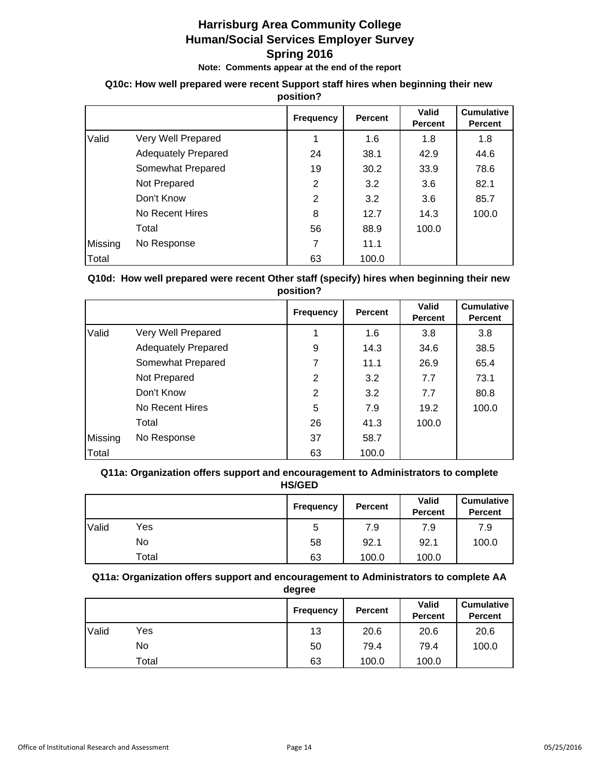**Note: Comments appear at the end of the report**

#### **Q10c: How well prepared were recent Support staff hires when beginning their new position?**

|         |                            | <b>Frequency</b> | <b>Percent</b> | Valid<br><b>Percent</b> | <b>Cumulative</b><br><b>Percent</b> |
|---------|----------------------------|------------------|----------------|-------------------------|-------------------------------------|
| Valid   | Very Well Prepared         |                  | 1.6            | 1.8                     | 1.8                                 |
|         | <b>Adequately Prepared</b> | 24               | 38.1           | 42.9                    | 44.6                                |
|         | Somewhat Prepared          | 19               | 30.2           | 33.9                    | 78.6                                |
|         | Not Prepared               | $\overline{2}$   | 3.2            | 3.6                     | 82.1                                |
|         | Don't Know                 | $\overline{2}$   | 3.2            | 3.6                     | 85.7                                |
|         | No Recent Hires            | 8                | 12.7           | 14.3                    | 100.0                               |
|         | Total                      | 56               | 88.9           | 100.0                   |                                     |
| Missing | No Response                | 7                | 11.1           |                         |                                     |
| Total   |                            | 63               | 100.0          |                         |                                     |

# **Q10d: How well prepared were recent Other staff (specify) hires when beginning their new position?**

|         |                            | <b>Frequency</b> | <b>Percent</b> | Valid<br><b>Percent</b> | <b>Cumulative</b><br><b>Percent</b> |
|---------|----------------------------|------------------|----------------|-------------------------|-------------------------------------|
| Valid   | Very Well Prepared         | 1                | 1.6            | 3.8                     | 3.8                                 |
|         | <b>Adequately Prepared</b> | 9                | 14.3           | 34.6                    | 38.5                                |
|         | Somewhat Prepared          | 7                | 11.1           | 26.9                    | 65.4                                |
|         | Not Prepared               | $\overline{2}$   | 3.2            | 7.7                     | 73.1                                |
|         | Don't Know                 | $\overline{2}$   | 3.2            | 7.7                     | 80.8                                |
|         | No Recent Hires            | 5                | 7.9            | 19.2                    | 100.0                               |
|         | Total                      | 26               | 41.3           | 100.0                   |                                     |
| Missing | No Response                | 37               | 58.7           |                         |                                     |
| Total   |                            | 63               | 100.0          |                         |                                     |

## **Q11a: Organization offers support and encouragement to Administrators to complete HS/GED**

|       |       | <b>Frequency</b> | <b>Percent</b> | Valid<br><b>Percent</b> | <b>Cumulative</b><br><b>Percent</b> |
|-------|-------|------------------|----------------|-------------------------|-------------------------------------|
| Valid | Yes   | 5                | 7.9            | 7.9                     | 7.9                                 |
|       | No    | 58               | 92.1           | 92.1                    | 100.0                               |
|       | Total | 63               | 100.0          | 100.0                   |                                     |

# **Q11a: Organization offers support and encouragement to Administrators to complete AA**

| n. | 16 I | пr | . . |  |  |
|----|------|----|-----|--|--|
|    |      |    |     |  |  |
|    |      |    |     |  |  |

|       |       | Frequency | <b>Percent</b> | <b>Valid</b><br><b>Percent</b> | <b>Cumulative</b><br><b>Percent</b> |
|-------|-------|-----------|----------------|--------------------------------|-------------------------------------|
| Valid | Yes   | 13        | 20.6           | 20.6                           | 20.6                                |
|       | No    | 50        | 79.4           | 79.4                           | 100.0                               |
|       | Total | 63        | 100.0          | 100.0                          |                                     |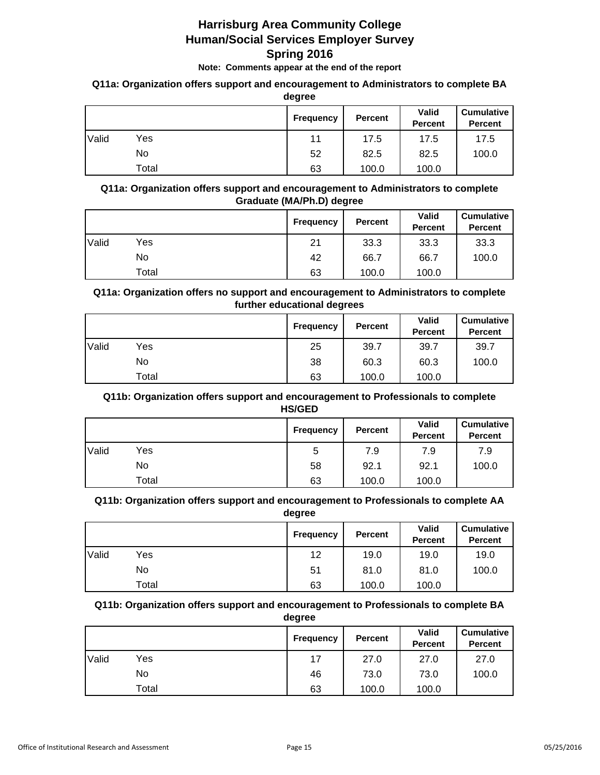**Note: Comments appear at the end of the report**

#### **Q11a: Organization offers support and encouragement to Administrators to complete BA**

**degree**

|       |       | Frequency | <b>Percent</b> | Valid<br><b>Percent</b> | <b>Cumulative</b><br><b>Percent</b> |
|-------|-------|-----------|----------------|-------------------------|-------------------------------------|
| Valid | Yes   | 11        | 17.5           | 17.5                    | 17.5                                |
|       | No    | 52        | 82.5           | 82.5                    | 100.0                               |
|       | Total | 63        | 100.0          | 100.0                   |                                     |

## **Q11a: Organization offers support and encouragement to Administrators to complete Graduate (MA/Ph.D) degree**

|       |       | <b>Frequency</b> | <b>Percent</b> | Valid<br><b>Percent</b> | <b>Cumulative</b><br><b>Percent</b> |
|-------|-------|------------------|----------------|-------------------------|-------------------------------------|
| Valid | Yes   | 21               | 33.3           | 33.3                    | 33.3                                |
|       | No    | 42               | 66.7           | 66.7                    | 100.0                               |
|       | Total | 63               | 100.0          | 100.0                   |                                     |

## **Q11a: Organization offers no support and encouragement to Administrators to complete further educational degrees**

|       |       | Frequency | <b>Percent</b> | <b>Valid</b><br><b>Percent</b> | <b>Cumulative</b><br><b>Percent</b> |
|-------|-------|-----------|----------------|--------------------------------|-------------------------------------|
| Valid | Yes   | 25        | 39.7           | 39.7                           | 39.7                                |
|       | No    | 38        | 60.3           | 60.3                           | 100.0                               |
|       | Total | 63        | 100.0          | 100.0                          |                                     |

## **Q11b: Organization offers support and encouragement to Professionals to complete HS/GED**

|       |       | <b>Frequency</b> | <b>Percent</b> | <b>Valid</b><br><b>Percent</b> | <b>Cumulative</b><br><b>Percent</b> |
|-------|-------|------------------|----------------|--------------------------------|-------------------------------------|
| Valid | Yes   | 5                | 7.9            | 7.9                            | 7.9                                 |
|       | No    | 58               | 92.1           | 92.1                           | 100.0                               |
|       | Total | 63               | 100.0          | 100.0                          |                                     |

#### **Q11b: Organization offers support and encouragement to Professionals to complete AA degree**

|       |       | <b>Frequency</b> | <b>Percent</b> | <b>Valid</b><br><b>Percent</b> | <b>Cumulative</b><br><b>Percent</b> |
|-------|-------|------------------|----------------|--------------------------------|-------------------------------------|
| Valid | Yes   | 12               | 19.0           | 19.0                           | 19.0                                |
|       | No    | 51               | 81.0           | 81.0                           | 100.0                               |
|       | Total | 63               | 100.0          | 100.0                          |                                     |

# **Q11b: Organization offers support and encouragement to Professionals to complete BA**

**Frequency Percent Valid Percent Cumulative Percent** Valid Yes 17 27.0 27.0 27.0 No 46 73.0 73.0 100.0 Total 63 100.0 100.0 **degree**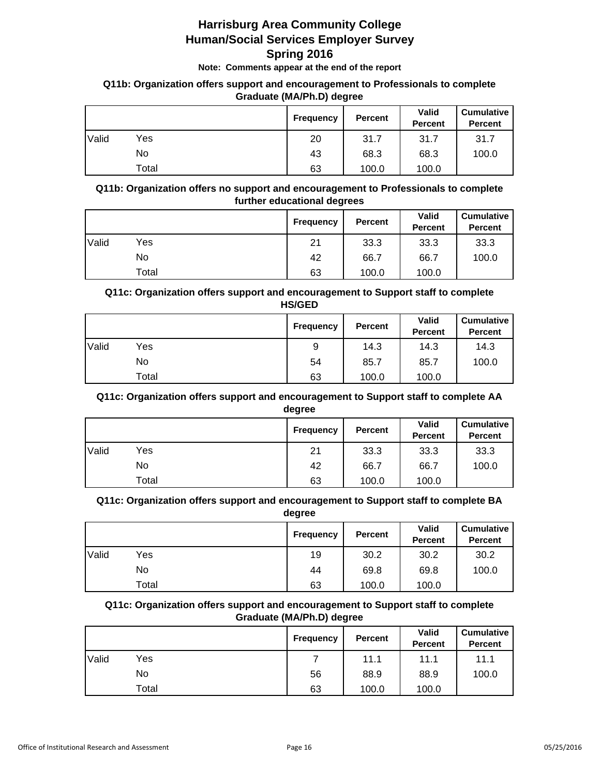**Note: Comments appear at the end of the report**

#### **Q11b: Organization offers support and encouragement to Professionals to complete Graduate (MA/Ph.D) degree**

|       |       | <b>Frequency</b> | <b>Percent</b> | <b>Valid</b><br><b>Percent</b> | <b>Cumulative</b><br><b>Percent</b> |
|-------|-------|------------------|----------------|--------------------------------|-------------------------------------|
| Valid | Yes   | 20               | 31.7           | 31.7                           | 31.7                                |
|       | No    | 43               | 68.3           | 68.3                           | 100.0                               |
|       | Total | 63               | 100.0          | 100.0                          |                                     |

## **Q11b: Organization offers no support and encouragement to Professionals to complete further educational degrees**

|       |       | Frequency | <b>Percent</b> | Valid<br><b>Percent</b> | <b>Cumulative</b><br><b>Percent</b> |
|-------|-------|-----------|----------------|-------------------------|-------------------------------------|
| Valid | Yes   | 21        | 33.3           | 33.3                    | 33.3                                |
|       | No    | 42        | 66.7           | 66.7                    | 100.0                               |
|       | Total | 63        | 100.0          | 100.0                   |                                     |

## **Q11c: Organization offers support and encouragement to Support staff to complete HS/GED**

|       |       | <b>Frequency</b> | <b>Percent</b> | Valid<br><b>Percent</b> | <b>Cumulative</b><br><b>Percent</b> |
|-------|-------|------------------|----------------|-------------------------|-------------------------------------|
| Valid | Yes   | 9                | 14.3           | 14.3                    | 14.3                                |
|       | No    | 54               | 85.7           | 85.7                    | 100.0                               |
|       | Total | 63               | 100.0          | 100.0                   |                                     |

## **Q11c: Organization offers support and encouragement to Support staff to complete AA degree**

|       |       | <b>Frequency</b> | <b>Percent</b> | <b>Valid</b><br><b>Percent</b> | <b>Cumulative</b><br><b>Percent</b> |
|-------|-------|------------------|----------------|--------------------------------|-------------------------------------|
| Valid | Yes   | 21               | 33.3           | 33.3                           | 33.3                                |
|       | No    | 42               | 66.7           | 66.7                           | 100.0                               |
|       | Total | 63               | 100.0          | 100.0                          |                                     |

## **Q11c: Organization offers support and encouragement to Support staff to complete BA degree**

|       |       | <b>Frequency</b> | <b>Percent</b> | <b>Valid</b><br><b>Percent</b> | <b>Cumulative</b><br><b>Percent</b> |
|-------|-------|------------------|----------------|--------------------------------|-------------------------------------|
| Valid | Yes   | 19               | 30.2           | 30.2                           | 30.2                                |
|       | No    | 44               | 69.8           | 69.8                           | 100.0                               |
|       | Total | 63               | 100.0          | 100.0                          |                                     |

# **Q11c: Organization offers support and encouragement to Support staff to complete Graduate (MA/Ph.D) degree**

|       |       | <b>Frequency</b> | <b>Percent</b> | <b>Valid</b><br><b>Percent</b> | <b>Cumulative</b><br><b>Percent</b> |
|-------|-------|------------------|----------------|--------------------------------|-------------------------------------|
| Valid | Yes   |                  | 11.1           | 11.1                           | 11.1                                |
|       | No    | 56               | 88.9           | 88.9                           | 100.0                               |
|       | Total | 63               | 100.0          | 100.0                          |                                     |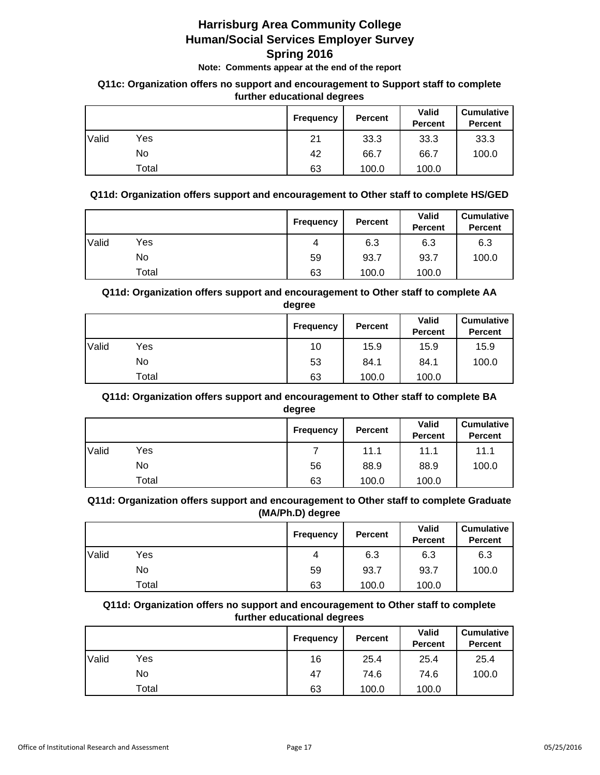**Note: Comments appear at the end of the report**

#### **Q11c: Organization offers no support and encouragement to Support staff to complete further educational degrees**

|       |       | <b>Frequency</b> | <b>Percent</b> | Valid<br><b>Percent</b> | <b>Cumulative</b><br><b>Percent</b> |
|-------|-------|------------------|----------------|-------------------------|-------------------------------------|
| Valid | Yes   | 21               | 33.3           | 33.3                    | 33.3                                |
|       | No    | 42               | 66.7           | 66.7                    | 100.0                               |
|       | Total | 63               | 100.0          | 100.0                   |                                     |

#### **Q11d: Organization offers support and encouragement to Other staff to complete HS/GED**

|       |       | <b>Frequency</b> | <b>Percent</b> | Valid<br><b>Percent</b> | <b>Cumulative</b><br><b>Percent</b> |
|-------|-------|------------------|----------------|-------------------------|-------------------------------------|
| Valid | Yes   | 4                | 6.3            | 6.3                     | 6.3                                 |
|       | No    | 59               | 93.7           | 93.7                    | 100.0                               |
|       | Total | 63               | 100.0          | 100.0                   |                                     |

#### **Q11d: Organization offers support and encouragement to Other staff to complete AA degree**

|       |       | <b>Frequency</b> | <b>Percent</b> | Valid<br><b>Percent</b> | <b>Cumulative</b><br><b>Percent</b> |
|-------|-------|------------------|----------------|-------------------------|-------------------------------------|
| Valid | Yes   | 10               | 15.9           | 15.9                    | 15.9                                |
|       | No    | 53               | 84.1           | 84.1                    | 100.0                               |
|       | Total | 63               | 100.0          | 100.0                   |                                     |

## **Q11d: Organization offers support and encouragement to Other staff to complete BA degree**

|       |       | <b>Frequency</b> | <b>Percent</b> | <b>Valid</b><br><b>Percent</b> | <b>Cumulative</b><br><b>Percent</b> |
|-------|-------|------------------|----------------|--------------------------------|-------------------------------------|
| Valid | Yes   |                  | 11.1           | 11.1                           | 11.1                                |
|       | No    | 56               | 88.9           | 88.9                           | 100.0                               |
|       | Total | 63               | 100.0          | 100.0                          |                                     |

#### **Q11d: Organization offers support and encouragement to Other staff to complete Graduate (MA/Ph.D) degree**

|       |       | Frequency | <b>Percent</b> | <b>Valid</b><br><b>Percent</b> | <b>Cumulative</b><br><b>Percent</b> |
|-------|-------|-----------|----------------|--------------------------------|-------------------------------------|
| Valid | Yes   | 4         | 6.3            | 6.3                            | 6.3                                 |
|       | No    | 59        | 93.7           | 93.7                           | 100.0                               |
|       | Total | 63        | 100.0          | 100.0                          |                                     |

# **Q11d: Organization offers no support and encouragement to Other staff to complete further educational degrees**

|       |       | Frequency | <b>Percent</b> | <b>Valid</b><br><b>Percent</b> | <b>Cumulative</b><br><b>Percent</b> |
|-------|-------|-----------|----------------|--------------------------------|-------------------------------------|
| Valid | Yes   | 16        | 25.4           | 25.4                           | 25.4                                |
|       | No    | 47        | 74.6           | 74.6                           | 100.0                               |
|       | Total | 63        | 100.0          | 100.0                          |                                     |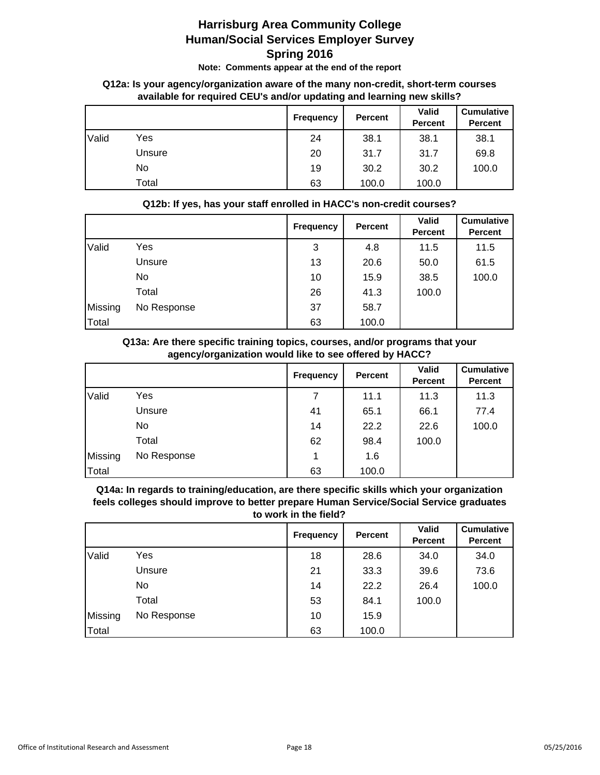**Note: Comments appear at the end of the report**

#### **Q12a: Is your agency/organization aware of the many non-credit, short-term courses available for required CEU's and/or updating and learning new skills?**

|       |        | Frequency | <b>Percent</b> | <b>Valid</b><br><b>Percent</b> | <b>Cumulative</b><br><b>Percent</b> |
|-------|--------|-----------|----------------|--------------------------------|-------------------------------------|
| Valid | Yes    | 24        | 38.1           | 38.1                           | 38.1                                |
|       | Unsure | 20        | 31.7           | 31.7                           | 69.8                                |
|       | No     | 19        | 30.2           | 30.2                           | 100.0                               |
|       | Total  | 63        | 100.0          | 100.0                          |                                     |

|         |             | <b>Frequency</b> | Percent | <b>Valid</b><br><b>Percent</b> | <b>Cumulative</b><br><b>Percent</b> |
|---------|-------------|------------------|---------|--------------------------------|-------------------------------------|
| Valid   | Yes         | 3                | 4.8     | 11.5                           | 11.5                                |
|         | Unsure      | 13               | 20.6    | 50.0                           | 61.5                                |
|         | No          | 10               | 15.9    | 38.5                           | 100.0                               |
|         | Total       | 26               | 41.3    | 100.0                          |                                     |
| Missing | No Response | 37               | 58.7    |                                |                                     |
| Total   |             | 63               | 100.0   |                                |                                     |

#### **Q12b: If yes, has your staff enrolled in HACC's non-credit courses?**

#### **Q13a: Are there specific training topics, courses, and/or programs that your agency/organization would like to see offered by HACC?**

|         |             | <b>Frequency</b> | <b>Percent</b> | Valid<br><b>Percent</b> | <b>Cumulative</b><br><b>Percent</b> |
|---------|-------------|------------------|----------------|-------------------------|-------------------------------------|
| Valid   | Yes         | 7                | 11.1           | 11.3                    | 11.3                                |
|         | Unsure      | 41               | 65.1           | 66.1                    | 77.4                                |
|         | No.         | 14               | 22.2           | 22.6                    | 100.0                               |
|         | Total       | 62               | 98.4           | 100.0                   |                                     |
| Missing | No Response | 1                | 1.6            |                         |                                     |
| Total   |             | 63               | 100.0          |                         |                                     |

**Q14a: In regards to training/education, are there specific skills which your organization feels colleges should improve to better prepare Human Service/Social Service graduates to work in the field?**

|         |             | <b>Frequency</b> | Percent | Valid<br><b>Percent</b> | <b>Cumulative</b><br>Percent |
|---------|-------------|------------------|---------|-------------------------|------------------------------|
| Valid   | Yes         | 18               | 28.6    | 34.0                    | 34.0                         |
|         | Unsure      | 21               | 33.3    | 39.6                    | 73.6                         |
|         | No          | 14               | 22.2    | 26.4                    | 100.0                        |
|         | Total       | 53               | 84.1    | 100.0                   |                              |
| Missing | No Response | 10               | 15.9    |                         |                              |
| Total   |             | 63               | 100.0   |                         |                              |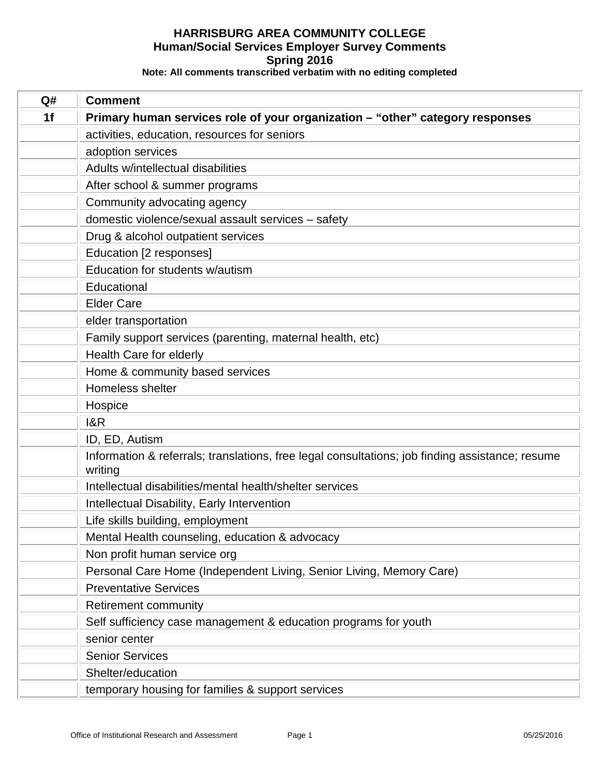| Q# | <b>Comment</b>                                                                                             |
|----|------------------------------------------------------------------------------------------------------------|
| 1f | Primary human services role of your organization - "other" category responses                              |
|    | activities, education, resources for seniors                                                               |
|    | adoption services                                                                                          |
|    | Adults w/intellectual disabilities                                                                         |
|    | After school & summer programs                                                                             |
|    | Community advocating agency                                                                                |
|    | domestic violence/sexual assault services - safety                                                         |
|    | Drug & alcohol outpatient services                                                                         |
|    | Education [2 responses]                                                                                    |
|    | Education for students w/autism                                                                            |
|    | Educational                                                                                                |
|    | <b>Elder Care</b>                                                                                          |
|    | elder transportation                                                                                       |
|    | Family support services (parenting, maternal health, etc)                                                  |
|    | <b>Health Care for elderly</b>                                                                             |
|    | Home & community based services                                                                            |
|    | Homeless shelter                                                                                           |
|    | Hospice                                                                                                    |
|    | 18R                                                                                                        |
|    | ID, ED, Autism                                                                                             |
|    | Information & referrals; translations, free legal consultations; job finding assistance; resume<br>writing |
|    | Intellectual disabilities/mental health/shelter services                                                   |
|    | Intellectual Disability, Early Intervention                                                                |
|    | Life skills building, employment                                                                           |
|    | Mental Health counseling, education & advocacy                                                             |
|    | Non profit human service org                                                                               |
|    | Personal Care Home (Independent Living, Senior Living, Memory Care)                                        |
|    | <b>Preventative Services</b>                                                                               |
|    | <b>Retirement community</b>                                                                                |
|    | Self sufficiency case management & education programs for youth                                            |
|    | senior center                                                                                              |
|    | <b>Senior Services</b>                                                                                     |
|    | Shelter/education                                                                                          |
|    | temporary housing for families & support services                                                          |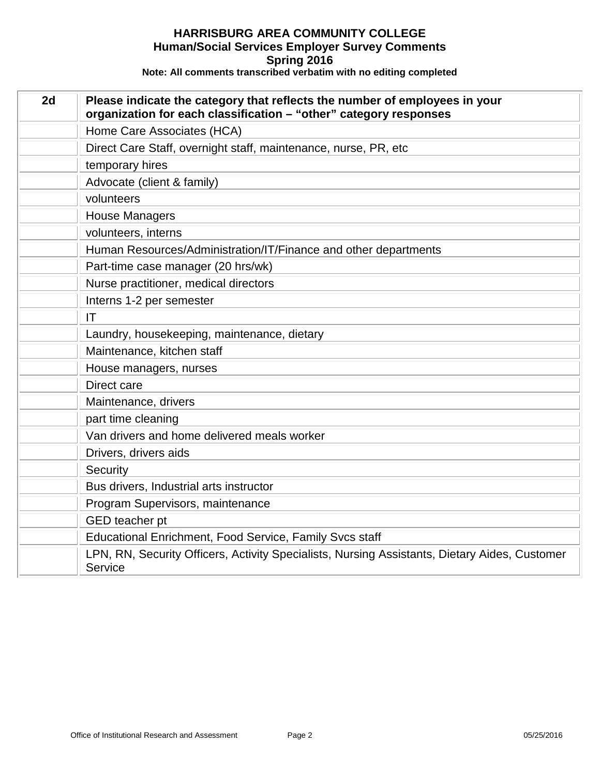| 2d | Please indicate the category that reflects the number of employees in your<br>organization for each classification - "other" category responses |
|----|-------------------------------------------------------------------------------------------------------------------------------------------------|
|    | Home Care Associates (HCA)                                                                                                                      |
|    | Direct Care Staff, overnight staff, maintenance, nurse, PR, etc                                                                                 |
|    | temporary hires                                                                                                                                 |
|    | Advocate (client & family)                                                                                                                      |
|    | volunteers                                                                                                                                      |
|    | <b>House Managers</b>                                                                                                                           |
|    | volunteers, interns                                                                                                                             |
|    | Human Resources/Administration/IT/Finance and other departments                                                                                 |
|    | Part-time case manager (20 hrs/wk)                                                                                                              |
|    | Nurse practitioner, medical directors                                                                                                           |
|    | Interns 1-2 per semester                                                                                                                        |
|    | IT                                                                                                                                              |
|    | Laundry, housekeeping, maintenance, dietary                                                                                                     |
|    | Maintenance, kitchen staff                                                                                                                      |
|    | House managers, nurses                                                                                                                          |
|    | Direct care                                                                                                                                     |
|    | Maintenance, drivers                                                                                                                            |
|    | part time cleaning                                                                                                                              |
|    | Van drivers and home delivered meals worker                                                                                                     |
|    | Drivers, drivers aids                                                                                                                           |
|    | Security                                                                                                                                        |
|    | Bus drivers, Industrial arts instructor                                                                                                         |
|    | Program Supervisors, maintenance                                                                                                                |
|    | <b>GED</b> teacher pt                                                                                                                           |
|    | Educational Enrichment, Food Service, Family Svcs staff                                                                                         |
|    | LPN, RN, Security Officers, Activity Specialists, Nursing Assistants, Dietary Aides, Customer<br>Service                                        |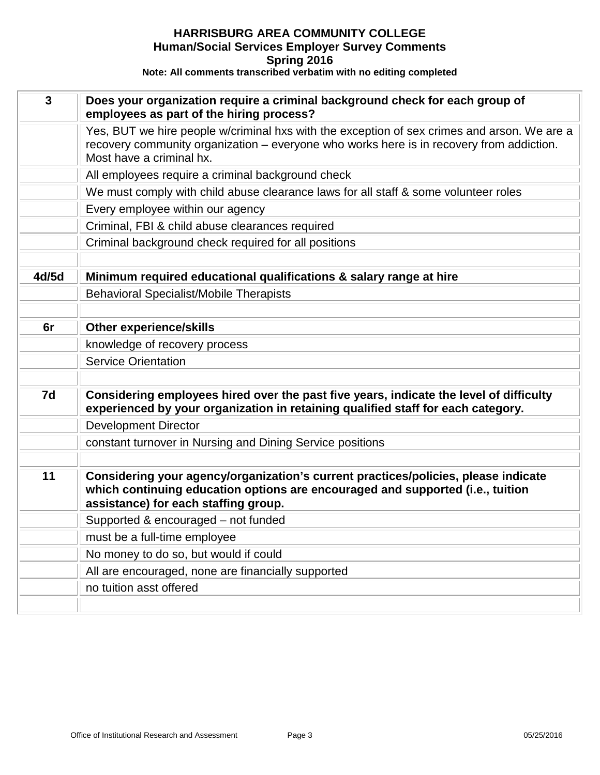| $\mathbf{3}$ | Does your organization require a criminal background check for each group of<br>employees as part of the hiring process?                                                                                            |  |
|--------------|---------------------------------------------------------------------------------------------------------------------------------------------------------------------------------------------------------------------|--|
|              | Yes, BUT we hire people w/criminal hxs with the exception of sex crimes and arson. We are a<br>recovery community organization - everyone who works here is in recovery from addiction.<br>Most have a criminal hx. |  |
|              | All employees require a criminal background check                                                                                                                                                                   |  |
|              | We must comply with child abuse clearance laws for all staff & some volunteer roles                                                                                                                                 |  |
|              | Every employee within our agency                                                                                                                                                                                    |  |
|              | Criminal, FBI & child abuse clearances required                                                                                                                                                                     |  |
|              | Criminal background check required for all positions                                                                                                                                                                |  |
|              |                                                                                                                                                                                                                     |  |
| 4d/5d        | Minimum required educational qualifications & salary range at hire                                                                                                                                                  |  |
|              | <b>Behavioral Specialist/Mobile Therapists</b>                                                                                                                                                                      |  |
|              |                                                                                                                                                                                                                     |  |
| 6r           | <b>Other experience/skills</b>                                                                                                                                                                                      |  |
|              | knowledge of recovery process                                                                                                                                                                                       |  |
|              | <b>Service Orientation</b>                                                                                                                                                                                          |  |
|              |                                                                                                                                                                                                                     |  |
| 7d           | Considering employees hired over the past five years, indicate the level of difficulty<br>experienced by your organization in retaining qualified staff for each category.                                          |  |
|              | <b>Development Director</b>                                                                                                                                                                                         |  |
|              | constant turnover in Nursing and Dining Service positions                                                                                                                                                           |  |
|              |                                                                                                                                                                                                                     |  |
| 11           | Considering your agency/organization's current practices/policies, please indicate<br>which continuing education options are encouraged and supported (i.e., tuition<br>assistance) for each staffing group.        |  |
|              | Supported & encouraged - not funded                                                                                                                                                                                 |  |
|              | must be a full-time employee                                                                                                                                                                                        |  |
|              | No money to do so, but would if could                                                                                                                                                                               |  |
|              | All are encouraged, none are financially supported                                                                                                                                                                  |  |
|              | no tuition asst offered                                                                                                                                                                                             |  |
|              |                                                                                                                                                                                                                     |  |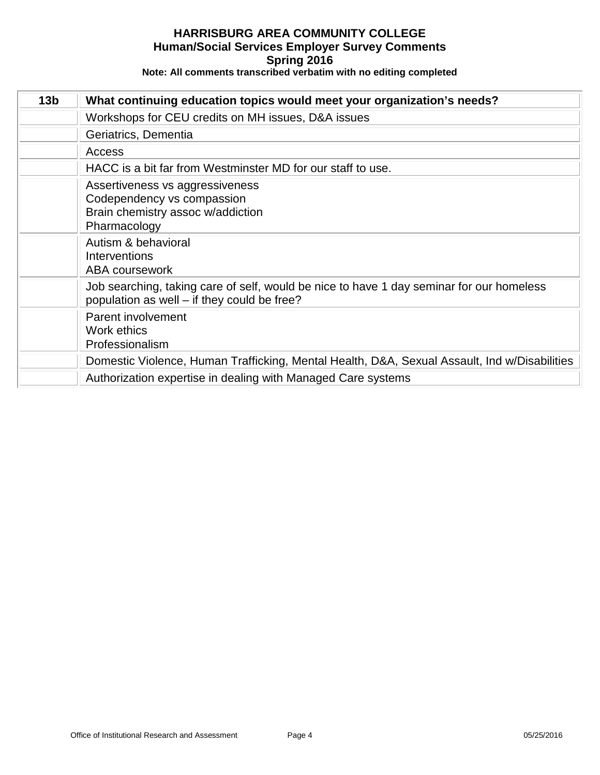| 13 <sub>b</sub> | What continuing education topics would meet your organization's needs?                                                                  |
|-----------------|-----------------------------------------------------------------------------------------------------------------------------------------|
|                 | Workshops for CEU credits on MH issues, D&A issues                                                                                      |
|                 | Geriatrics, Dementia                                                                                                                    |
|                 | <b>Access</b>                                                                                                                           |
|                 | HACC is a bit far from Westminster MD for our staff to use.                                                                             |
|                 | Assertiveness vs aggressiveness<br>Codependency vs compassion<br>Brain chemistry assoc w/addiction<br>Pharmacology                      |
|                 | Autism & behavioral<br>Interventions<br>ABA coursework                                                                                  |
|                 | Job searching, taking care of self, would be nice to have 1 day seminar for our homeless<br>population as well - if they could be free? |
|                 | Parent involvement<br>Work ethics<br>Professionalism                                                                                    |
|                 | Domestic Violence, Human Trafficking, Mental Health, D&A, Sexual Assault, Ind w/Disabilities                                            |
|                 | Authorization expertise in dealing with Managed Care systems                                                                            |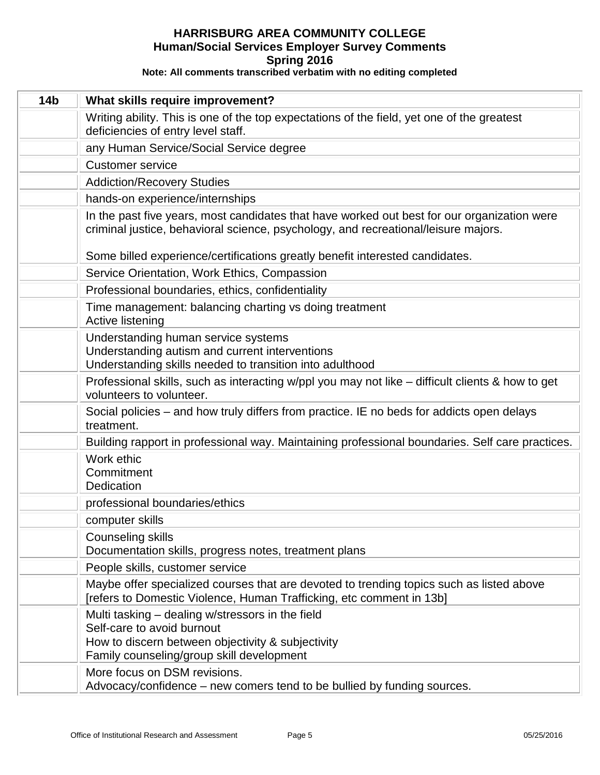| 14 <sub>b</sub> | What skills require improvement?                                                                                                                                                  |
|-----------------|-----------------------------------------------------------------------------------------------------------------------------------------------------------------------------------|
|                 | Writing ability. This is one of the top expectations of the field, yet one of the greatest<br>deficiencies of entry level staff.                                                  |
|                 | any Human Service/Social Service degree                                                                                                                                           |
|                 | <b>Customer service</b>                                                                                                                                                           |
|                 | <b>Addiction/Recovery Studies</b>                                                                                                                                                 |
|                 | hands-on experience/internships                                                                                                                                                   |
|                 | In the past five years, most candidates that have worked out best for our organization were<br>criminal justice, behavioral science, psychology, and recreational/leisure majors. |
|                 | Some billed experience/certifications greatly benefit interested candidates.                                                                                                      |
|                 | Service Orientation, Work Ethics, Compassion                                                                                                                                      |
|                 | Professional boundaries, ethics, confidentiality                                                                                                                                  |
|                 | Time management: balancing charting vs doing treatment<br>Active listening                                                                                                        |
|                 | Understanding human service systems<br>Understanding autism and current interventions<br>Understanding skills needed to transition into adulthood                                 |
|                 | Professional skills, such as interacting w/ppl you may not like – difficult clients & how to get<br>volunteers to volunteer.                                                      |
|                 | Social policies – and how truly differs from practice. IE no beds for addicts open delays<br>treatment.                                                                           |
|                 | Building rapport in professional way. Maintaining professional boundaries. Self care practices.                                                                                   |
|                 | Work ethic<br>Commitment<br>Dedication                                                                                                                                            |
|                 | professional boundaries/ethics                                                                                                                                                    |
|                 | computer skills                                                                                                                                                                   |
|                 | Counseling skills<br>Documentation skills, progress notes, treatment plans                                                                                                        |
|                 | People skills, customer service                                                                                                                                                   |
|                 | Maybe offer specialized courses that are devoted to trending topics such as listed above<br>[refers to Domestic Violence, Human Trafficking, etc comment in 13b]                  |
|                 | Multi tasking – dealing w/stressors in the field<br>Self-care to avoid burnout<br>How to discern between objectivity & subjectivity<br>Family counseling/group skill development  |
|                 | More focus on DSM revisions.<br>Advocacy/confidence – new comers tend to be bullied by funding sources.                                                                           |